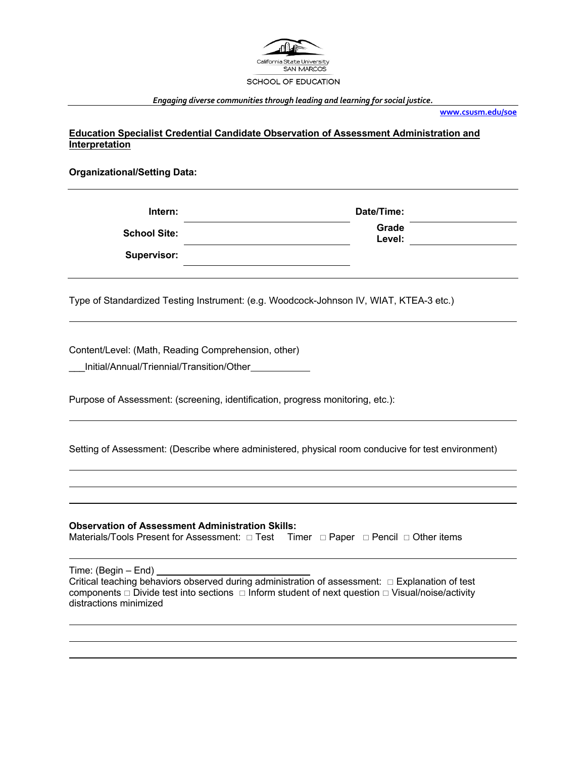

### *Engaging diverse communities through leading and learning for social justice.*

**www.csusm.edu/soe**

**Education Specialist Credential Candidate Observation of Assessment Administration and Interpretation**

## **Organizational/Setting Data:**

| Intern:             | Date/Time:      |
|---------------------|-----------------|
| <b>School Site:</b> | Grade<br>Level: |
| <b>Supervisor:</b>  |                 |

Type of Standardized Testing Instrument: (e.g. Woodcock-Johnson IV, WIAT, KTEA-3 etc.)

Content/Level: (Math, Reading Comprehension, other)

\_\_\_Initial/Annual/Triennial/Transition/Other

Purpose of Assessment: (screening, identification, progress monitoring, etc.):

Setting of Assessment: (Describe where administered, physical room conducive for test environment)

# **Observation of Assessment Administration Skills:**

Materials/Tools Present for Assessment:  $\Box$  Test Timer  $\Box$  Paper  $\Box$  Pencil  $\Box$  Other items

Time: (Begin – End)

Critical teaching behaviors observed during administration of assessment:  $\Box$  Explanation of test components  $\Box$  Divide test into sections  $\Box$  Inform student of next question  $\Box$  Visual/noise/activity distractions minimized